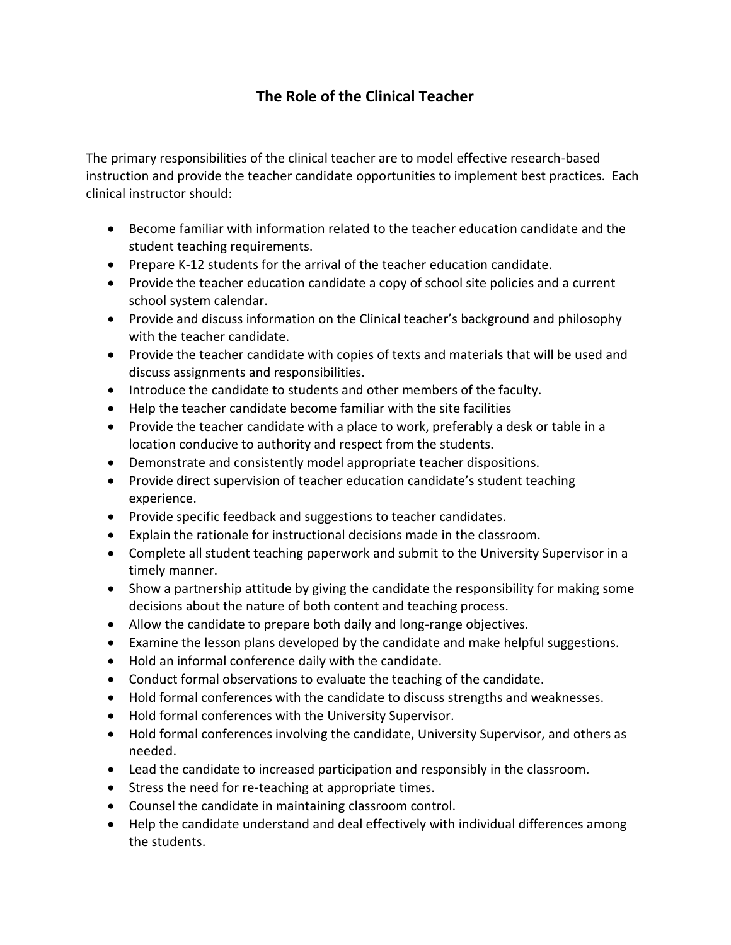## **The Role of the Clinical Teacher**

The primary responsibilities of the clinical teacher are to model effective research-based instruction and provide the teacher candidate opportunities to implement best practices. Each clinical instructor should:

- Become familiar with information related to the teacher education candidate and the student teaching requirements.
- Prepare K-12 students for the arrival of the teacher education candidate.
- Provide the teacher education candidate a copy of school site policies and a current school system calendar.
- Provide and discuss information on the Clinical teacher's background and philosophy with the teacher candidate.
- Provide the teacher candidate with copies of texts and materials that will be used and discuss assignments and responsibilities.
- Introduce the candidate to students and other members of the faculty.
- Help the teacher candidate become familiar with the site facilities
- Provide the teacher candidate with a place to work, preferably a desk or table in a location conducive to authority and respect from the students.
- Demonstrate and consistently model appropriate teacher dispositions.
- Provide direct supervision of teacher education candidate's student teaching experience.
- Provide specific feedback and suggestions to teacher candidates.
- Explain the rationale for instructional decisions made in the classroom.
- Complete all student teaching paperwork and submit to the University Supervisor in a timely manner.
- Show a partnership attitude by giving the candidate the responsibility for making some decisions about the nature of both content and teaching process.
- Allow the candidate to prepare both daily and long-range objectives.
- Examine the lesson plans developed by the candidate and make helpful suggestions.
- Hold an informal conference daily with the candidate.
- Conduct formal observations to evaluate the teaching of the candidate.
- Hold formal conferences with the candidate to discuss strengths and weaknesses.
- Hold formal conferences with the University Supervisor.
- Hold formal conferences involving the candidate, University Supervisor, and others as needed.
- Lead the candidate to increased participation and responsibly in the classroom.
- Stress the need for re-teaching at appropriate times.
- Counsel the candidate in maintaining classroom control.
- Help the candidate understand and deal effectively with individual differences among the students.